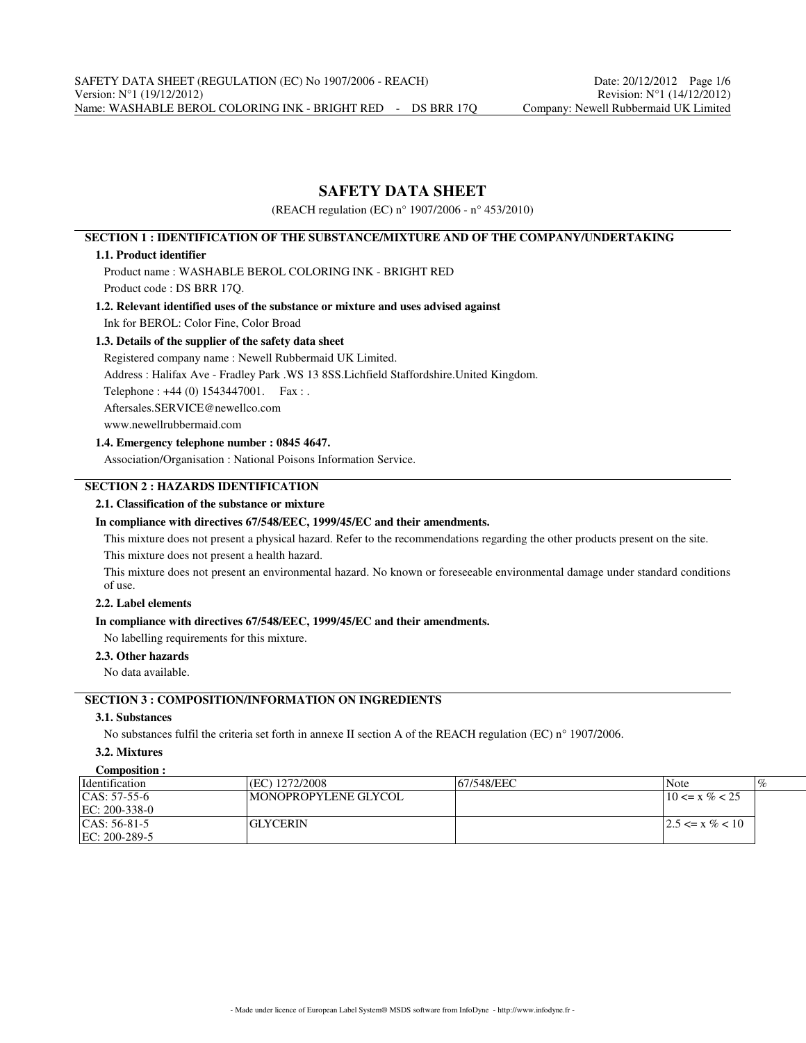# **SAFETY DATA SHEET**

(REACH regulation (EC) n° 1907/2006 - n° 453/2010)

## **SECTION 1 : IDENTIFICATION OF THE SUBSTANCE/MIXTURE AND OF THE COMPANY/UNDERTAKING**

### **1.1. Product identifier**

Product name : WASHABLE BEROL COLORING INK - BRIGHT RED

Product code : DS BRR 17Q.

## **1.2. Relevant identified uses of the substance or mixture and uses advised against** Ink for BEROL: Color Fine, Color Broad

### **1.3. Details of the supplier of the safety data sheet**

Registered company name : Newell Rubbermaid UK Limited.

Address : Halifax Ave - Fradley Park .WS 13 8SS.Lichfield Staffordshire.United Kingdom.

Telephone : +44 (0) 1543447001. Fax : .

Aftersales.SERVICE@newellco.com

www.newellrubbermaid.com

## **1.4. Emergency telephone number : 0845 4647.**

Association/Organisation : National Poisons Information Service.

# **SECTION 2 : HAZARDS IDENTIFICATION**

## **2.1. Classification of the substance or mixture**

## **In compliance with directives 67/548/EEC, 1999/45/EC and their amendments.**

This mixture does not present a physical hazard. Refer to the recommendations regarding the other products present on the site. This mixture does not present a health hazard.

This mixture does not present an environmental hazard. No known or foreseeable environmental damage under standard conditions of use.

# **2.2. Label elements**

### **In compliance with directives 67/548/EEC, 1999/45/EC and their amendments.**

No labelling requirements for this mixture.

## **2.3. Other hazards**

No data available.

# **SECTION 3 : COMPOSITION/INFORMATION ON INGREDIENTS**

# **3.1. Substances**

No substances fulfil the criteria set forth in annexe II section A of the REACH regulation (EC) n° 1907/2006.

## **3.2. Mixtures**

| Composition :        |                      |             |                      |
|----------------------|----------------------|-------------|----------------------|
| <i>dentification</i> | (EC) 1272/2008       | 167/548/EEC | $\%$<br>Note         |
| $ CAS: 57-55-6$      | MONOPROPYLENE GLYCOL |             | $10 \le x \% < 25$   |
| $EC: 200-338-0$      |                      |             |                      |
| $ CAS: 56-81-5$      | GLYCERIN             |             | $12.5 \le x \% < 10$ |
| $ EC: 200-289-5$     |                      |             |                      |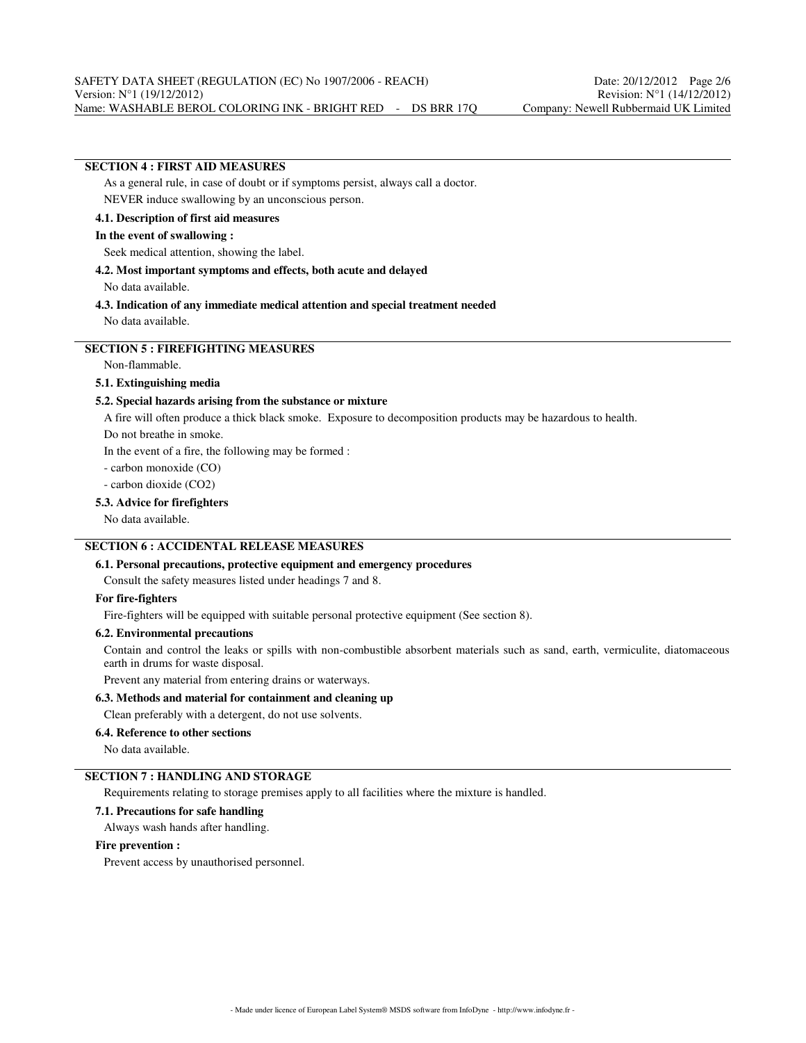# **SECTION 4 : FIRST AID MEASURES**

As a general rule, in case of doubt or if symptoms persist, always call a doctor. NEVER induce swallowing by an unconscious person.

**4.1. Description of first aid measures**

### **In the event of swallowing :**

Seek medical attention, showing the label.

#### **4.2. Most important symptoms and effects, both acute and delayed**

No data available.

### **4.3. Indication of any immediate medical attention and special treatment needed** No data available.

# **SECTION 5 : FIREFIGHTING MEASURES**

Non-flammable.

### **5.1. Extinguishing media**

### **5.2. Special hazards arising from the substance or mixture**

A fire will often produce a thick black smoke. Exposure to decomposition products may be hazardous to health.

Do not breathe in smoke.

In the event of a fire, the following may be formed :

- carbon monoxide (CO)

- carbon dioxide (CO2)

#### **5.3. Advice for firefighters**

No data available.

## **SECTION 6 : ACCIDENTAL RELEASE MEASURES**

### **6.1. Personal precautions, protective equipment and emergency procedures**

Consult the safety measures listed under headings 7 and 8.

### **For fire-fighters**

Fire-fighters will be equipped with suitable personal protective equipment (See section 8).

#### **6.2. Environmental precautions**

Contain and control the leaks or spills with non-combustible absorbent materials such as sand, earth, vermiculite, diatomaceous earth in drums for waste disposal.

Prevent any material from entering drains or waterways.

### **6.3. Methods and material for containment and cleaning up**

Clean preferably with a detergent, do not use solvents.

#### **6.4. Reference to other sections**

No data available.

## **SECTION 7 : HANDLING AND STORAGE**

Requirements relating to storage premises apply to all facilities where the mixture is handled.

### **7.1. Precautions for safe handling**

Always wash hands after handling.

## **Fire prevention :**

Prevent access by unauthorised personnel.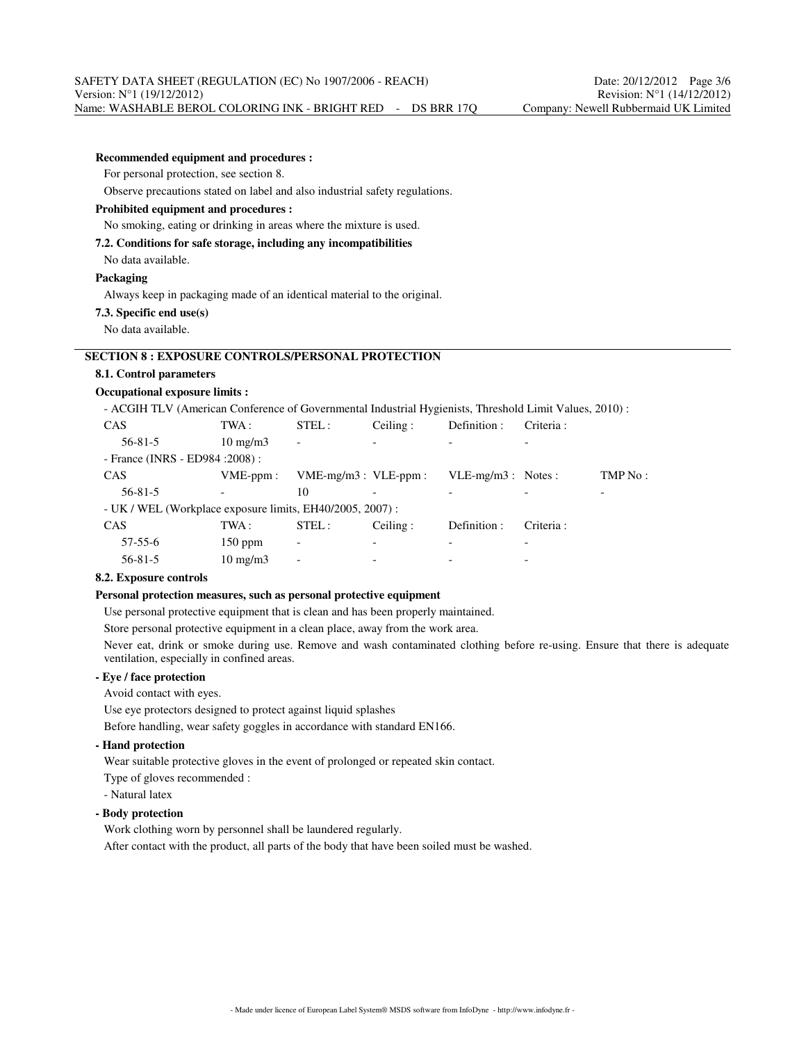| <b>Recommended equipment and procedures :</b>                                                          |                   |                           |          |                      |           |         |
|--------------------------------------------------------------------------------------------------------|-------------------|---------------------------|----------|----------------------|-----------|---------|
| For personal protection, see section 8.                                                                |                   |                           |          |                      |           |         |
| Observe precautions stated on label and also industrial safety regulations.                            |                   |                           |          |                      |           |         |
| Prohibited equipment and procedures :                                                                  |                   |                           |          |                      |           |         |
| No smoking, eating or drinking in areas where the mixture is used.                                     |                   |                           |          |                      |           |         |
| 7.2. Conditions for safe storage, including any incompatibilities                                      |                   |                           |          |                      |           |         |
| No data available.                                                                                     |                   |                           |          |                      |           |         |
| Packaging                                                                                              |                   |                           |          |                      |           |         |
| Always keep in packaging made of an identical material to the original.                                |                   |                           |          |                      |           |         |
| 7.3. Specific end use(s)                                                                               |                   |                           |          |                      |           |         |
| No data available.                                                                                     |                   |                           |          |                      |           |         |
|                                                                                                        |                   |                           |          |                      |           |         |
| <b>SECTION 8 : EXPOSURE CONTROLS/PERSONAL PROTECTION</b>                                               |                   |                           |          |                      |           |         |
| 8.1. Control parameters                                                                                |                   |                           |          |                      |           |         |
| <b>Occupational exposure limits:</b>                                                                   |                   |                           |          |                      |           |         |
| - ACGIH TLV (American Conference of Governmental Industrial Hygienists, Threshold Limit Values, 2010): |                   |                           |          |                      |           |         |
| CAS                                                                                                    | TWA :             | STEL:                     | Ceiling: | Definition :         | Criteria: |         |
| $56 - 81 - 5$                                                                                          | $10 \text{ mg/m}$ |                           |          |                      |           |         |
| - France (INRS - ED984 : 2008) :                                                                       |                   |                           |          |                      |           |         |
| CAS                                                                                                    | $VME-ppm$ :       | $VME-mg/m3$ : $VLE-ppm$ : |          | $VLE-mg/m3$ : Notes: |           | TMP No: |
| $56 - 81 - 5$                                                                                          |                   | 10                        |          |                      |           |         |
| - UK / WEL (Workplace exposure limits, EH40/2005, 2007):                                               |                   |                           |          |                      |           |         |
| CAS                                                                                                    | TWA:              | STEL:                     | Ceiling: | Definition:          | Criteria: |         |
| $57 - 55 - 6$                                                                                          | $150$ ppm         |                           |          |                      |           |         |
| $56 - 81 - 5$                                                                                          | $10 \text{ mg/m}$ |                           |          |                      |           |         |

### **8.2. Exposure controls**

### **Personal protection measures, such as personal protective equipment**

Use personal protective equipment that is clean and has been properly maintained.

Store personal protective equipment in a clean place, away from the work area.

Never eat, drink or smoke during use. Remove and wash contaminated clothing before re-using. Ensure that there is adequate ventilation, especially in confined areas.

## **- Eye / face protection**

Avoid contact with eyes.

Use eye protectors designed to protect against liquid splashes

Before handling, wear safety goggles in accordance with standard EN166.

**- Hand protection**

Wear suitable protective gloves in the event of prolonged or repeated skin contact.

Type of gloves recommended :

- Natural latex

## **- Body protection**

Work clothing worn by personnel shall be laundered regularly.

After contact with the product, all parts of the body that have been soiled must be washed.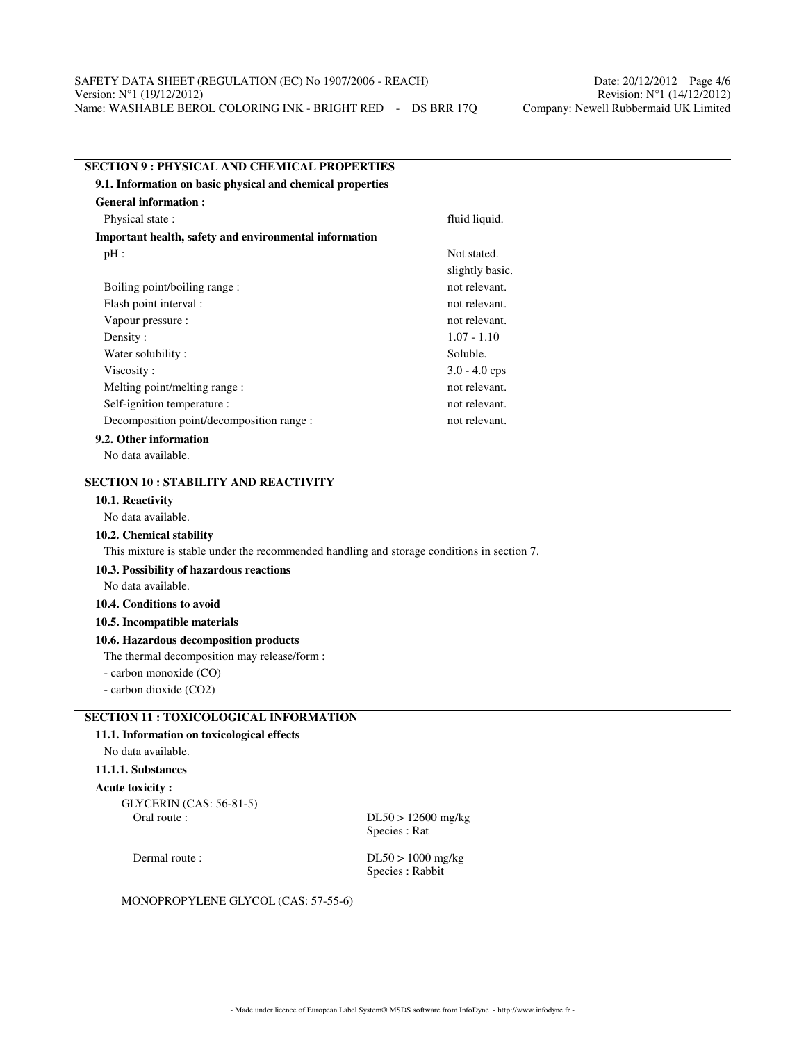| <b>SECTION 9: PHYSICAL AND CHEMICAL PROPERTIES</b>                                         |                                      |
|--------------------------------------------------------------------------------------------|--------------------------------------|
| 9.1. Information on basic physical and chemical properties                                 |                                      |
| <b>General information:</b>                                                                |                                      |
| Physical state:                                                                            | fluid liquid.                        |
| Important health, safety and environmental information                                     |                                      |
| $pH$ :                                                                                     | Not stated.                          |
|                                                                                            | slightly basic.                      |
| Boiling point/boiling range :                                                              | not relevant.                        |
| Flash point interval :                                                                     | not relevant.                        |
| Vapour pressure :                                                                          | not relevant.                        |
| Density:                                                                                   | $1.07 - 1.10$                        |
| Water solubility:                                                                          | Soluble.                             |
| Viscosity:                                                                                 | $3.0 - 4.0$ cps                      |
| Melting point/melting range :                                                              | not relevant.                        |
| Self-ignition temperature :                                                                | not relevant.                        |
| Decomposition point/decomposition range :                                                  | not relevant.                        |
| 9.2. Other information                                                                     |                                      |
| No data available.                                                                         |                                      |
| <b>SECTION 10: STABILITY AND REACTIVITY</b>                                                |                                      |
| 10.1. Reactivity                                                                           |                                      |
| No data available.                                                                         |                                      |
| 10.2. Chemical stability                                                                   |                                      |
| This mixture is stable under the recommended handling and storage conditions in section 7. |                                      |
| 10.3. Possibility of hazardous reactions                                                   |                                      |
| No data available.                                                                         |                                      |
| 10.4. Conditions to avoid                                                                  |                                      |
| 10.5. Incompatible materials                                                               |                                      |
| 10.6. Hazardous decomposition products                                                     |                                      |
| The thermal decomposition may release/form :                                               |                                      |
| - carbon monoxide (CO)                                                                     |                                      |
| - carbon dioxide (CO2)                                                                     |                                      |
|                                                                                            |                                      |
| <b>SECTION 11 : TOXICOLOGICAL INFORMATION</b>                                              |                                      |
| 11.1. Information on toxicological effects                                                 |                                      |
| No data available.                                                                         |                                      |
| 11.1.1. Substances                                                                         |                                      |
| <b>Acute toxicity:</b>                                                                     |                                      |
| <b>GLYCERIN</b> (CAS: 56-81-5)                                                             |                                      |
| Oral route:                                                                                | $DL50 > 12600$ mg/kg<br>Species: Rat |
|                                                                                            |                                      |
| Dermal route:                                                                              | $DL50 > 1000$ mg/kg                  |

Species : Rabbit

MONOPROPYLENE GLYCOL (CAS: 57-55-6)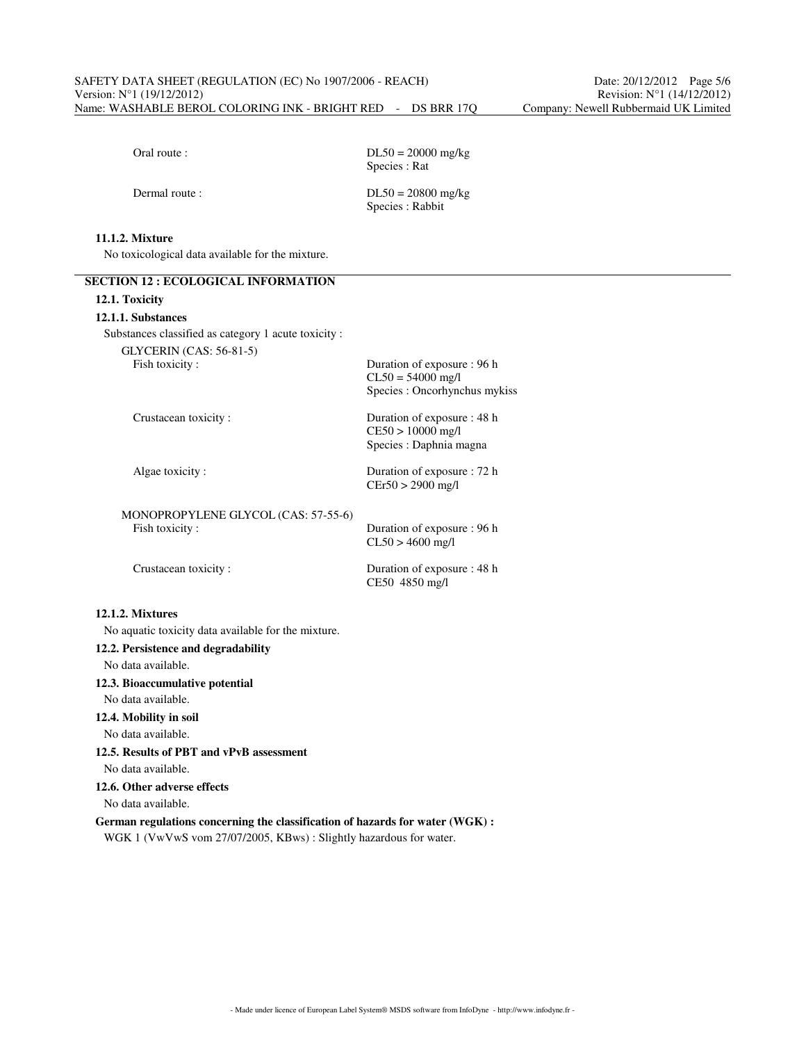Oral route :  $DL50 = 20000$  mg/kg Species : Rat

Dermal route :  $DL50 = 20800$  mg/kg Species : Rabbit

# **11.1.2. Mixture**

No toxicological data available for the mixture.

| 12.1. Toxicity                                                                                                                                     |                                                                                     |
|----------------------------------------------------------------------------------------------------------------------------------------------------|-------------------------------------------------------------------------------------|
| 12.1.1. Substances                                                                                                                                 |                                                                                     |
| Substances classified as category 1 acute toxicity :                                                                                               |                                                                                     |
| <b>GLYCERIN</b> (CAS: 56-81-5)<br>Fish toxicity:                                                                                                   | Duration of exposure : 96 h<br>$CL50 = 54000$ mg/l<br>Species : Oncorhynchus mykiss |
| Crustacean toxicity:                                                                                                                               | Duration of exposure : 48 h<br>CE50 > 10000 mg/l<br>Species : Daphnia magna         |
| Algae toxicity:                                                                                                                                    | Duration of exposure : 72 h<br>$CEr50 > 2900$ mg/l                                  |
| MONOPROPYLENE GLYCOL (CAS: 57-55-6)                                                                                                                |                                                                                     |
| Fish toxicity:                                                                                                                                     | Duration of exposure : 96 h<br>$CL50 > 4600$ mg/l                                   |
| Crustacean toxicity:                                                                                                                               | Duration of exposure : 48 h<br>CE50 4850 mg/l                                       |
| 12.1.2. Mixtures                                                                                                                                   |                                                                                     |
| No aquatic toxicity data available for the mixture.                                                                                                |                                                                                     |
| 12.2. Persistence and degradability                                                                                                                |                                                                                     |
| No data available.                                                                                                                                 |                                                                                     |
| 12.3. Bioaccumulative potential                                                                                                                    |                                                                                     |
| No data available.                                                                                                                                 |                                                                                     |
| 12.4. Mobility in soil                                                                                                                             |                                                                                     |
| No data available.                                                                                                                                 |                                                                                     |
| 12.5. Results of PBT and vPvB assessment                                                                                                           |                                                                                     |
| No data available.                                                                                                                                 |                                                                                     |
| 12.6. Other adverse effects                                                                                                                        |                                                                                     |
| No data available.                                                                                                                                 |                                                                                     |
| German regulations concerning the classification of hazards for water (WGK) :<br>WGK 1 (VwVwS vom 27/07/2005, KBws): Slightly hazardous for water. |                                                                                     |